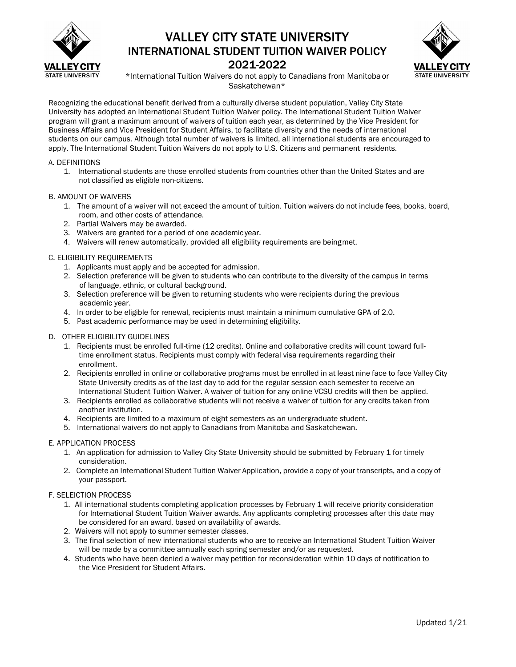

## VALLEY CITY STATE UNIVERSITY INTERNATIONAL STUDENT TUITION WAIVER POLICY 2021-2022



\*International Tuition Waivers do not apply to Canadians from Manitoba or Saskatchewan\*

Recognizing the educational benefit derived from a culturally diverse student population, Valley City State University has adopted an International Student Tuition Waiver policy. The International Student Tuition Waiver program will grant a maximum amount of waivers of tuition each year, as determined by the Vice President for Business Affairs and Vice President for Student Affairs, to facilitate diversity and the needs of international students on our campus. Although total number of waivers is limited, all international students are encouraged to apply. The International Student Tuition Waivers do not apply to U.S. Citizens and permanent residents.

#### A. DEFINITIONS

1. International students are those enrolled students from countries other than the United States and are not classified as eligible non-citizens.

### B. AMOUNT OF WAIVERS

- 1. The amount of a waiver will not exceed the amount of tuition. Tuition waivers do not include fees, books, board, room, and other costs of attendance.
- 2. Partial Waivers may be awarded.
- 3. Waivers are granted for a period of one academic year.
- 4. Waivers will renew automatically, provided all eligibility requirements are beingmet.

#### C. ELIGIBILITY REQUIREMENTS

- 1. Applicants must apply and be accepted for admission.
- 2. Selection preference will be given to students who can contribute to the diversity of the campus in terms of language, ethnic, or cultural background.
- 3. Selection preference will be given to returning students who were recipients during the previous academic year.
- 4. In order to be eligible for renewal, recipients must maintain a minimum cumulative GPA of 2.0.
- 5. Past academic performance may be used in determining eligibility.

#### D. OTHER ELIGIBILITY GUIDELINES

- 1. Recipients must be enrolled full-time (12 credits). Online and collaborative credits will count toward fulltime enrollment status. Recipients must comply with federal visa requirements regarding their enrollment.
- 2. Recipients enrolled in online or collaborative programs must be enrolled in at least nine face to face Valley City State University credits as of the last day to add for the regular session each semester to receive an International Student Tuition Waiver. A waiver of tuition for any online VCSU credits will then be applied.
- 3. Recipients enrolled as collaborative students will not receive a waiver of tuition for any credits taken from another institution.
- 4. Recipients are limited to a maximum of eight semesters as an undergraduate student.
- 5. International waivers do not apply to Canadians from Manitoba and Saskatchewan.

#### E. APPLICATION PROCESS

- 1. An application for admission to Valley City State University should be submitted by February 1 for timely consideration.
- 2. Complete an International Student Tuition Waiver Application, provide a copy of your transcripts, and a copy of your passport.

#### F. SELEICTION PROCESS

- 1. All international students completing application processes by February 1 will receive priority consideration for International Student Tuition Waiver awards. Any applicants completing processes after this date may be considered for an award, based on availability of awards.
- 2. Waivers will not apply to summer semester classes.
- 3. The final selection of new international students who are to receive an International Student Tuition Waiver will be made by a committee annually each spring semester and/or as requested.
- 4. Students who have been denied a waiver may petition for reconsideration within 10 days of notification to the Vice President for Student Affairs.